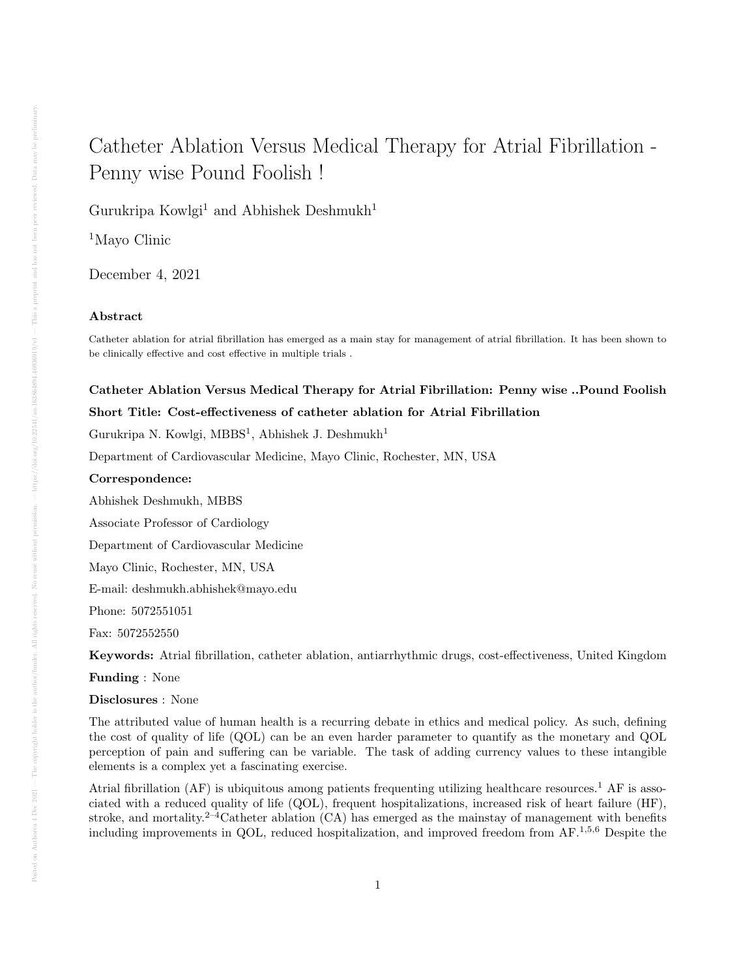# Catheter Ablation Versus Medical Therapy for Atrial Fibrillation - Penny wise Pound Foolish !

Gurukripa Kowlgi<sup>1</sup> and Abhishek Deshmukh<sup>1</sup>

<sup>1</sup>Mayo Clinic

December 4, 2021

### Abstract

Catheter ablation for atrial fibrillation has emerged as a main stay for management of atrial fibrillation. It has been shown to be clinically effective and cost effective in multiple trials .

## Catheter Ablation Versus Medical Therapy for Atrial Fibrillation: Penny wise ..Pound Foolish Short Title: Cost-effectiveness of catheter ablation for Atrial Fibrillation

Gurukripa N. Kowlgi, MBBS<sup>1</sup>, Abhishek J. Deshmukh<sup>1</sup>

Department of Cardiovascular Medicine, Mayo Clinic, Rochester, MN, USA

#### Correspondence:

Abhishek Deshmukh, MBBS

Associate Professor of Cardiology

Department of Cardiovascular Medicine

Mayo Clinic, Rochester, MN, USA

E-mail: deshmukh.abhishek@mayo.edu

Phone: 5072551051

Fax: 5072552550

Keywords: Atrial fibrillation, catheter ablation, antiarrhythmic drugs, cost-effectiveness, United Kingdom

Funding : None

Disclosures : None

The attributed value of human health is a recurring debate in ethics and medical policy. As such, defining the cost of quality of life (QOL) can be an even harder parameter to quantify as the monetary and QOL perception of pain and suffering can be variable. The task of adding currency values to these intangible elements is a complex yet a fascinating exercise.

Atrial fibrillation (AF) is ubiquitous among patients frequenting utilizing healthcare resources.<sup>1</sup> AF is associated with a reduced quality of life (QOL), frequent hospitalizations, increased risk of heart failure (HF), stroke, and mortality.<sup>2–4</sup>Catheter ablation  $(CA)$  has emerged as the mainstay of management with benefits including improvements in QOL, reduced hospitalization, and improved freedom from  $AF^{1,5,6}$  Despite the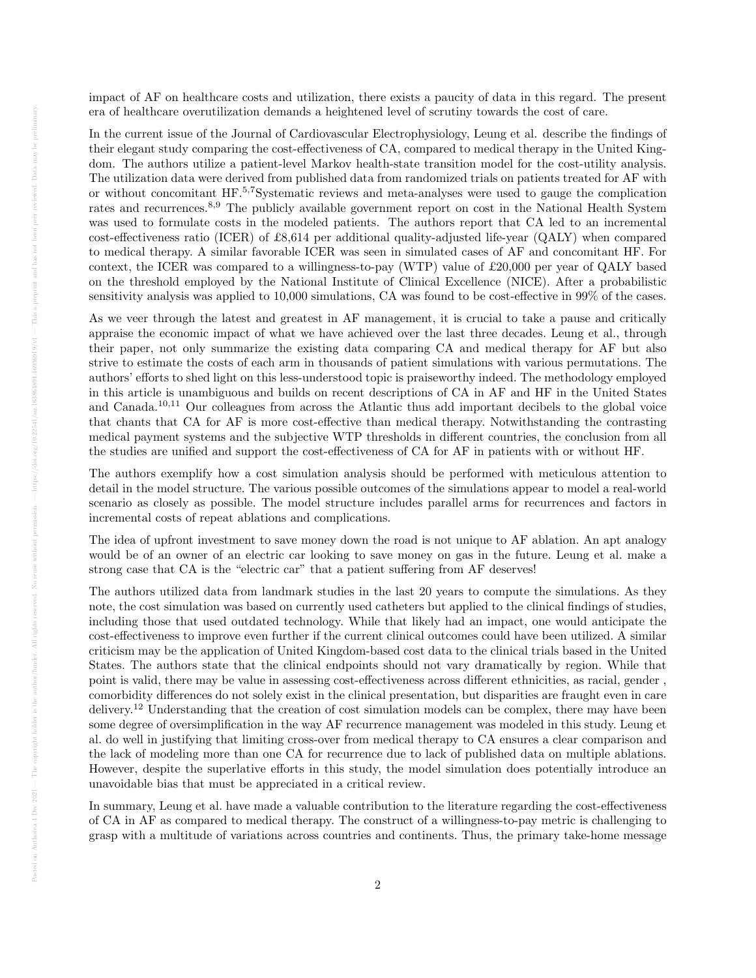impact of AF on healthcare costs and utilization, there exists a paucity of data in this regard. The present era of healthcare overutilization demands a heightened level of scrutiny towards the cost of care.

In the current issue of the Journal of Cardiovascular Electrophysiology, Leung et al. describe the findings of their elegant study comparing the cost-effectiveness of CA, compared to medical therapy in the United Kingdom. The authors utilize a patient-level Markov health-state transition model for the cost-utility analysis. The utilization data were derived from published data from randomized trials on patients treated for AF with or without concomitant HF.5,7Systematic reviews and meta-analyses were used to gauge the complication rates and recurrences.8,9 The publicly available government report on cost in the National Health System was used to formulate costs in the modeled patients. The authors report that CA led to an incremental cost-effectiveness ratio (ICER) of £8,614 per additional quality-adjusted life-year (QALY) when compared to medical therapy. A similar favorable ICER was seen in simulated cases of AF and concomitant HF. For context, the ICER was compared to a willingness-to-pay (WTP) value of £20,000 per year of QALY based on the threshold employed by the National Institute of Clinical Excellence (NICE). After a probabilistic sensitivity analysis was applied to 10,000 simulations, CA was found to be cost-effective in 99% of the cases.

As we veer through the latest and greatest in AF management, it is crucial to take a pause and critically appraise the economic impact of what we have achieved over the last three decades. Leung et al., through their paper, not only summarize the existing data comparing CA and medical therapy for AF but also strive to estimate the costs of each arm in thousands of patient simulations with various permutations. The authors' efforts to shed light on this less-understood topic is praiseworthy indeed. The methodology employed in this article is unambiguous and builds on recent descriptions of CA in AF and HF in the United States and Canada.10,11 Our colleagues from across the Atlantic thus add important decibels to the global voice that chants that CA for AF is more cost-effective than medical therapy. Notwithstanding the contrasting medical payment systems and the subjective WTP thresholds in different countries, the conclusion from all the studies are unified and support the cost-effectiveness of CA for AF in patients with or without HF.

The authors exemplify how a cost simulation analysis should be performed with meticulous attention to detail in the model structure. The various possible outcomes of the simulations appear to model a real-world scenario as closely as possible. The model structure includes parallel arms for recurrences and factors in incremental costs of repeat ablations and complications.

The idea of upfront investment to save money down the road is not unique to AF ablation. An apt analogy would be of an owner of an electric car looking to save money on gas in the future. Leung et al. make a strong case that CA is the "electric car" that a patient suffering from AF deserves!

The authors utilized data from landmark studies in the last 20 years to compute the simulations. As they note, the cost simulation was based on currently used catheters but applied to the clinical findings of studies, including those that used outdated technology. While that likely had an impact, one would anticipate the cost-effectiveness to improve even further if the current clinical outcomes could have been utilized. A similar criticism may be the application of United Kingdom-based cost data to the clinical trials based in the United States. The authors state that the clinical endpoints should not vary dramatically by region. While that point is valid, there may be value in assessing cost-effectiveness across different ethnicities, as racial, gender , comorbidity differences do not solely exist in the clinical presentation, but disparities are fraught even in care delivery.<sup>12</sup> Understanding that the creation of cost simulation models can be complex, there may have been some degree of oversimplification in the way AF recurrence management was modeled in this study. Leung et al. do well in justifying that limiting cross-over from medical therapy to CA ensures a clear comparison and the lack of modeling more than one CA for recurrence due to lack of published data on multiple ablations. However, despite the superlative efforts in this study, the model simulation does potentially introduce an unavoidable bias that must be appreciated in a critical review.

In summary, Leung et al. have made a valuable contribution to the literature regarding the cost-effectiveness of CA in AF as compared to medical therapy. The construct of a willingness-to-pay metric is challenging to grasp with a multitude of variations across countries and continents. Thus, the primary take-home message